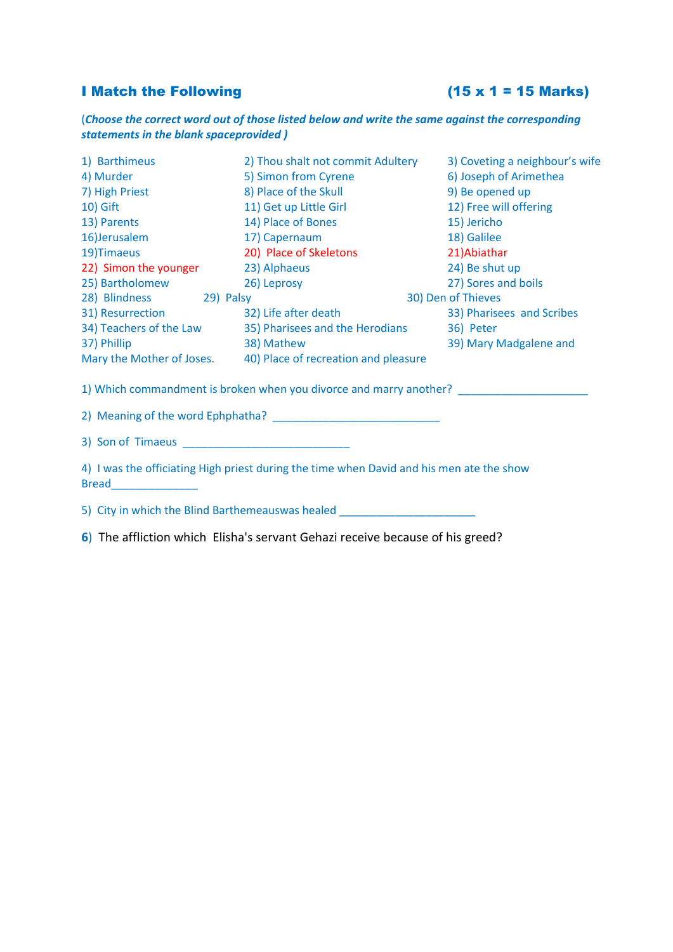# I Match the Following  $(15 \times 1 = 15 \text{ Marks})$

(*Choose the correct word out of those listed below and write the same against the corresponding statements in the blank spaceprovided )*

| 1) Barthimeus                        | 2) Thou shalt not commit Adultery                                                        | 3) Coveting a neighbour's wife |
|--------------------------------------|------------------------------------------------------------------------------------------|--------------------------------|
| 4) Murder                            | 5) Simon from Cyrene                                                                     | 6) Joseph of Arimethea         |
| 7) High Priest                       | 8) Place of the Skull                                                                    | 9) Be opened up                |
| 10) Gift                             | 11) Get up Little Girl                                                                   | 12) Free will offering         |
| 13) Parents                          | 14) Place of Bones                                                                       | 15) Jericho                    |
| 16)Jerusalem                         | 17) Capernaum                                                                            | 18) Galilee                    |
| 19) Timaeus                          | 20) Place of Skeletons                                                                   | 21) Abiathar                   |
| 22) Simon the younger 23) Alphaeus   |                                                                                          | 24) Be shut up                 |
| 25) Bartholomew                      | 26) Leprosy                                                                              | 27) Sores and boils            |
| 28) Blindness 29) Palsy              |                                                                                          | 30) Den of Thieves             |
| 31) Resurrection                     | 32) Life after death                                                                     | 33) Pharisees and Scribes      |
| 34) Teachers of the Law              | 35) Pharisees and the Herodians                                                          | 36) Peter                      |
| 37) Phillip                          | 38) Mathew                                                                               | 39) Mary Madgalene and         |
|                                      | Mary the Mother of Joses. 40) Place of recreation and pleasure                           |                                |
|                                      | 1) Which commandment is broken when you divorce and marry another?                       |                                |
|                                      |                                                                                          |                                |
| 3) Son of Timaeus and Son of Timaeus |                                                                                          |                                |
| <b>Bread</b>                         | 4) I was the officiating High priest during the time when David and his men ate the show |                                |

5) City in which the Blind Barthemeauswas healed \_\_\_\_\_\_\_\_\_\_\_\_\_\_\_\_\_\_\_\_\_\_\_\_\_\_\_\_\_\_\_

**6**) The affliction which Elisha's servant Gehazi receive because of his greed?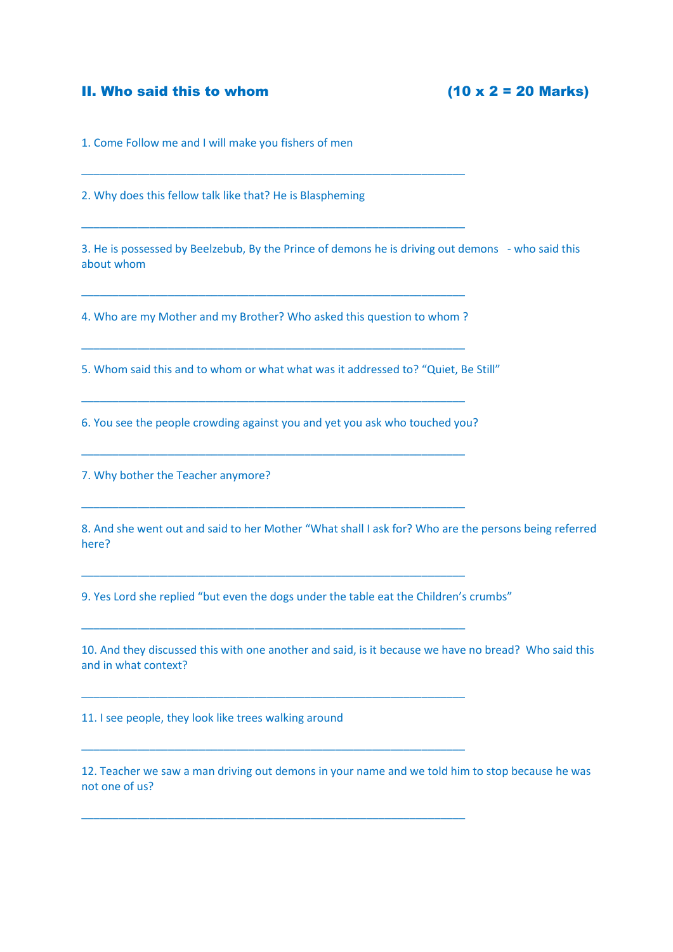### II. Who said this to whom  $(10 \times 2 = 20 \text{ Marks})$

1. Come Follow me and I will make you fishers of men

2. Why does this fellow talk like that? He is Blaspheming

3. He is possessed by Beelzebub, By the Prince of demons he is driving out demons - who said this about whom

4. Who are my Mother and my Brother? Who asked this question to whom ?

\_\_\_\_\_\_\_\_\_\_\_\_\_\_\_\_\_\_\_\_\_\_\_\_\_\_\_\_\_\_\_\_\_\_\_\_\_\_\_\_\_\_\_\_\_\_\_\_\_\_\_\_\_\_\_\_\_\_\_\_\_\_

\_\_\_\_\_\_\_\_\_\_\_\_\_\_\_\_\_\_\_\_\_\_\_\_\_\_\_\_\_\_\_\_\_\_\_\_\_\_\_\_\_\_\_\_\_\_\_\_\_\_\_\_\_\_\_\_\_\_\_\_\_\_

\_\_\_\_\_\_\_\_\_\_\_\_\_\_\_\_\_\_\_\_\_\_\_\_\_\_\_\_\_\_\_\_\_\_\_\_\_\_\_\_\_\_\_\_\_\_\_\_\_\_\_\_\_\_\_\_\_\_\_\_\_\_

\_\_\_\_\_\_\_\_\_\_\_\_\_\_\_\_\_\_\_\_\_\_\_\_\_\_\_\_\_\_\_\_\_\_\_\_\_\_\_\_\_\_\_\_\_\_\_\_\_\_\_\_\_\_\_\_\_\_\_\_\_\_

\_\_\_\_\_\_\_\_\_\_\_\_\_\_\_\_\_\_\_\_\_\_\_\_\_\_\_\_\_\_\_\_\_\_\_\_\_\_\_\_\_\_\_\_\_\_\_\_\_\_\_\_\_\_\_\_\_\_\_\_\_\_

\_\_\_\_\_\_\_\_\_\_\_\_\_\_\_\_\_\_\_\_\_\_\_\_\_\_\_\_\_\_\_\_\_\_\_\_\_\_\_\_\_\_\_\_\_\_\_\_\_\_\_\_\_\_\_\_\_\_\_\_\_\_

\_\_\_\_\_\_\_\_\_\_\_\_\_\_\_\_\_\_\_\_\_\_\_\_\_\_\_\_\_\_\_\_\_\_\_\_\_\_\_\_\_\_\_\_\_\_\_\_\_\_\_\_\_\_\_\_\_\_\_\_\_\_

\_\_\_\_\_\_\_\_\_\_\_\_\_\_\_\_\_\_\_\_\_\_\_\_\_\_\_\_\_\_\_\_\_\_\_\_\_\_\_\_\_\_\_\_\_\_\_\_\_\_\_\_\_\_\_\_\_\_\_\_\_\_

\_\_\_\_\_\_\_\_\_\_\_\_\_\_\_\_\_\_\_\_\_\_\_\_\_\_\_\_\_\_\_\_\_\_\_\_\_\_\_\_\_\_\_\_\_\_\_\_\_\_\_\_\_\_\_\_\_\_\_\_\_\_

\_\_\_\_\_\_\_\_\_\_\_\_\_\_\_\_\_\_\_\_\_\_\_\_\_\_\_\_\_\_\_\_\_\_\_\_\_\_\_\_\_\_\_\_\_\_\_\_\_\_\_\_\_\_\_\_\_\_\_\_\_\_

\_\_\_\_\_\_\_\_\_\_\_\_\_\_\_\_\_\_\_\_\_\_\_\_\_\_\_\_\_\_\_\_\_\_\_\_\_\_\_\_\_\_\_\_\_\_\_\_\_\_\_\_\_\_\_\_\_\_\_\_\_\_

\_\_\_\_\_\_\_\_\_\_\_\_\_\_\_\_\_\_\_\_\_\_\_\_\_\_\_\_\_\_\_\_\_\_\_\_\_\_\_\_\_\_\_\_\_\_\_\_\_\_\_\_\_\_\_\_\_\_\_\_\_\_

5. Whom said this and to whom or what what was it addressed to? "Quiet, Be Still"

6. You see the people crowding against you and yet you ask who touched you?

7. Why bother the Teacher anymore?

8. And she went out and said to her Mother "What shall I ask for? Who are the persons being referred here?

9. Yes Lord she replied "but even the dogs under the table eat the Children's crumbs"

10. And they discussed this with one another and said, is it because we have no bread? Who said this and in what context?

11. I see people, they look like trees walking around

12. Teacher we saw a man driving out demons in your name and we told him to stop because he was not one of us?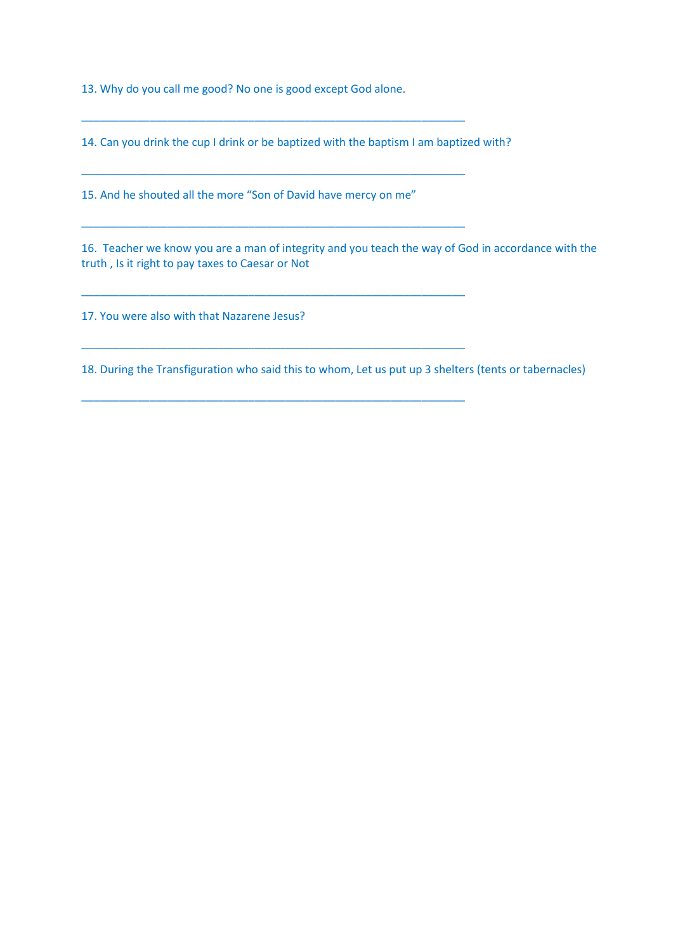13. Why do you call me good? No one is good except God alone.

14. Can you drink the cup I drink or be baptized with the baptism I am baptized with?

\_\_\_\_\_\_\_\_\_\_\_\_\_\_\_\_\_\_\_\_\_\_\_\_\_\_\_\_\_\_\_\_\_\_\_\_\_\_\_\_\_\_\_\_\_\_\_\_\_\_\_\_\_\_\_\_\_\_\_\_\_\_

\_\_\_\_\_\_\_\_\_\_\_\_\_\_\_\_\_\_\_\_\_\_\_\_\_\_\_\_\_\_\_\_\_\_\_\_\_\_\_\_\_\_\_\_\_\_\_\_\_\_\_\_\_\_\_\_\_\_\_\_\_\_

\_\_\_\_\_\_\_\_\_\_\_\_\_\_\_\_\_\_\_\_\_\_\_\_\_\_\_\_\_\_\_\_\_\_\_\_\_\_\_\_\_\_\_\_\_\_\_\_\_\_\_\_\_\_\_\_\_\_\_\_\_\_

\_\_\_\_\_\_\_\_\_\_\_\_\_\_\_\_\_\_\_\_\_\_\_\_\_\_\_\_\_\_\_\_\_\_\_\_\_\_\_\_\_\_\_\_\_\_\_\_\_\_\_\_\_\_\_\_\_\_\_\_\_\_

\_\_\_\_\_\_\_\_\_\_\_\_\_\_\_\_\_\_\_\_\_\_\_\_\_\_\_\_\_\_\_\_\_\_\_\_\_\_\_\_\_\_\_\_\_\_\_\_\_\_\_\_\_\_\_\_\_\_\_\_\_\_

\_\_\_\_\_\_\_\_\_\_\_\_\_\_\_\_\_\_\_\_\_\_\_\_\_\_\_\_\_\_\_\_\_\_\_\_\_\_\_\_\_\_\_\_\_\_\_\_\_\_\_\_\_\_\_\_\_\_\_\_\_\_

15. And he shouted all the more "Son of David have mercy on me"

16. Teacher we know you are a man of integrity and you teach the way of God in accordance with the truth , Is it right to pay taxes to Caesar or Not

17. You were also with that Nazarene Jesus?

18. During the Transfiguration who said this to whom, Let us put up 3 shelters (tents or tabernacles)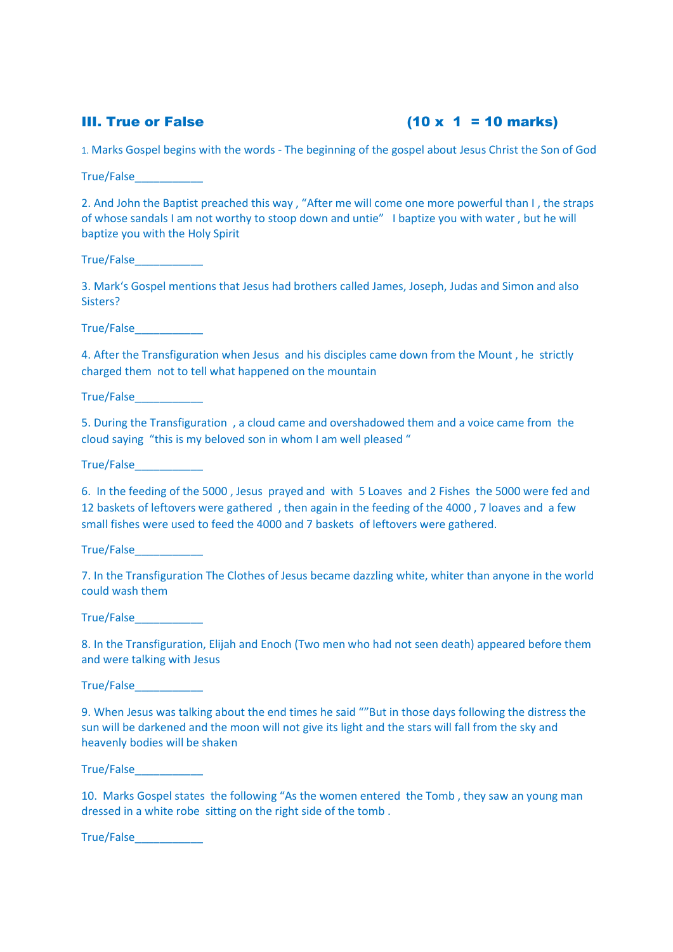# III. True or False  $(10 \times 1 = 10 \text{ marks})$

1. Marks Gospel begins with the words - The beginning of the gospel about Jesus Christ the Son of God

True/False\_\_\_\_\_\_\_\_\_\_\_

2. And John the Baptist preached this way , "After me will come one more powerful than I , the straps of whose sandals I am not worthy to stoop down and untie" I baptize you with water , but he will baptize you with the Holy Spirit

True/False\_\_\_\_\_\_\_\_\_\_\_

3. Mark's Gospel mentions that Jesus had brothers called James, Joseph, Judas and Simon and also Sisters?

True/False\_\_\_\_\_\_\_\_\_\_\_

4. After the Transfiguration when Jesus and his disciples came down from the Mount , he strictly charged them not to tell what happened on the mountain

True/False\_\_\_\_\_\_\_\_\_\_\_

5. During the Transfiguration , a cloud came and overshadowed them and a voice came from the cloud saying "this is my beloved son in whom I am well pleased "

True/False\_\_\_\_\_\_\_\_\_\_\_

6. In the feeding of the 5000 , Jesus prayed and with 5 Loaves and 2 Fishes the 5000 were fed and 12 baskets of leftovers were gathered , then again in the feeding of the 4000 , 7 loaves and a few small fishes were used to feed the 4000 and 7 baskets of leftovers were gathered.

True/False\_\_\_\_\_\_\_\_\_\_\_

7. In the Transfiguration The Clothes of Jesus became dazzling white, whiter than anyone in the world could wash them

True/False\_\_\_\_\_\_\_\_\_\_\_

8. In the Transfiguration, Elijah and Enoch (Two men who had not seen death) appeared before them and were talking with Jesus

True/False\_\_\_\_\_\_\_\_\_\_\_

9. When Jesus was talking about the end times he said ""But in those days following the distress the sun will be darkened and the moon will not give its light and the stars will fall from the sky and heavenly bodies will be shaken

True/False\_\_\_\_\_\_\_\_\_\_\_

10. Marks Gospel states the following "As the women entered the Tomb , they saw an young man dressed in a white robe sitting on the right side of the tomb .

True/False\_\_\_\_\_\_\_\_\_\_\_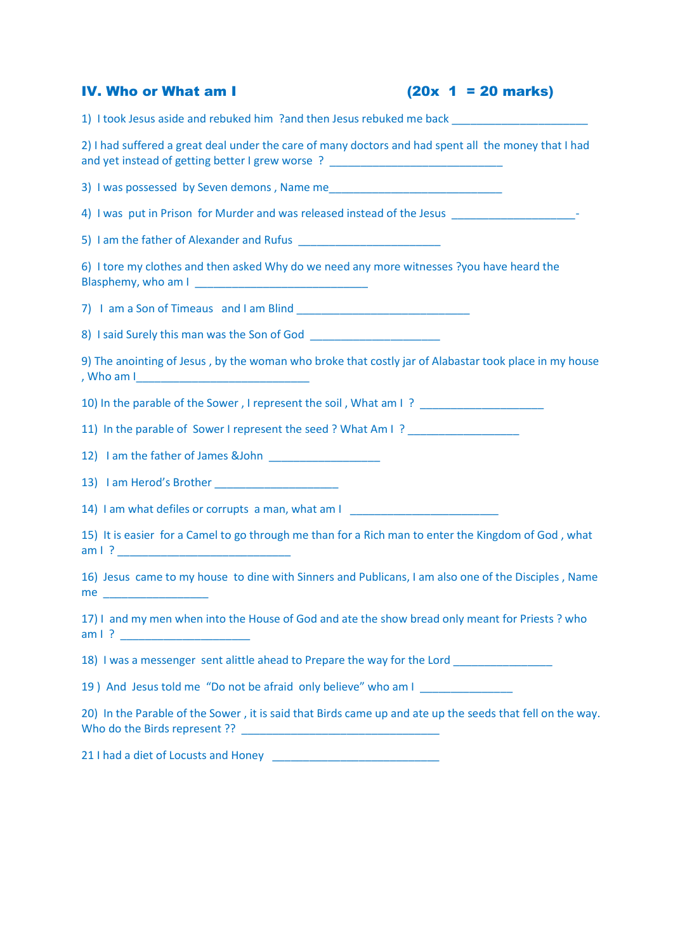| <b>IV. Who or What am I</b>                                                                                                                                                                                           | $(20x \t1 = 20 \text{ marks})$ |
|-----------------------------------------------------------------------------------------------------------------------------------------------------------------------------------------------------------------------|--------------------------------|
| 1) I took Jesus aside and rebuked him ?and then Jesus rebuked me back ______________________________                                                                                                                  |                                |
| 2) I had suffered a great deal under the care of many doctors and had spent all the money that I had<br>and yet instead of getting better I grew worse ? _______________________________                              |                                |
|                                                                                                                                                                                                                       |                                |
| 4) I was put in Prison for Murder and was released instead of the Jesus ____________________________                                                                                                                  |                                |
|                                                                                                                                                                                                                       |                                |
| 6) I tore my clothes and then asked Why do we need any more witnesses ?you have heard the                                                                                                                             |                                |
|                                                                                                                                                                                                                       |                                |
| 8) I said Surely this man was the Son of God                                                                                                                                                                          |                                |
| 9) The anointing of Jesus, by the woman who broke that costly jar of Alabastar took place in my house                                                                                                                 |                                |
| 10) In the parable of the Sower, I represent the soil, What am I? _______________                                                                                                                                     |                                |
| 11) In the parable of Sower I represent the seed ? What Am I ?                                                                                                                                                        |                                |
|                                                                                                                                                                                                                       |                                |
|                                                                                                                                                                                                                       |                                |
| 14) I am what defiles or corrupts a man, what am I _____________________________                                                                                                                                      |                                |
| 15) It is easier for a Camel to go through me than for a Rich man to enter the Kingdom of God, what                                                                                                                   |                                |
| 16) Jesus came to my house to dine with Sinners and Publicans, I am also one of the Disciples, Name<br>me and the state of the state of the state of the state of the state of the state of the state of the state of |                                |
| 17) I and my men when into the House of God and ate the show bread only meant for Priests ? who                                                                                                                       |                                |
| 18) I was a messenger sent alittle ahead to Prepare the way for the Lord _______________                                                                                                                              |                                |
| 19) And Jesus told me "Do not be afraid only believe" who am I                                                                                                                                                        |                                |
| 20) In the Parable of the Sower, it is said that Birds came up and ate up the seeds that fell on the way.                                                                                                             |                                |

21 I had a diet of Locusts and Honey \_\_\_\_\_\_\_\_\_\_\_\_\_\_\_\_\_\_\_\_\_\_\_\_\_\_\_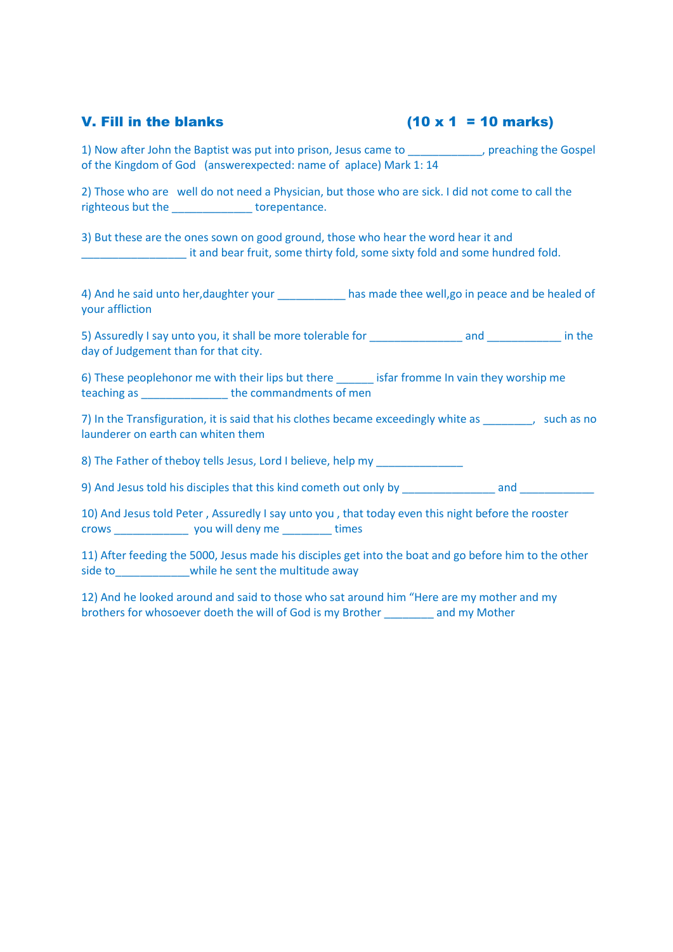## V. Fill in the blanks  $(10 \times 1 = 10 \text{ marks})$

1) Now after John the Baptist was put into prison, Jesus came to \_\_\_\_\_\_\_\_\_\_, preaching the Gospel of the Kingdom of God (answerexpected: name of aplace) Mark 1: 14

2) Those who are well do not need a Physician, but those who are sick. I did not come to call the righteous but the torepentance.

3) But these are the ones sown on good ground, those who hear the word hear it and \_\_\_\_\_\_\_\_\_\_\_\_\_\_\_\_\_ it and bear fruit, some thirty fold, some sixty fold and some hundred fold.

4) And he said unto her, daughter your has made thee well, go in peace and be healed of your affliction

5) Assuredly I say unto you, it shall be more tolerable for and and and in the day of Judgement than for that city.

6) These peoplehonor me with their lips but there isfar fromme In vain they worship me teaching as **the commandments of men** 

7) In the Transfiguration, it is said that his clothes became exceedingly white as  $\qquad \qquad$ , such as no launderer on earth can whiten them

8) The Father of theboy tells Jesus, Lord I believe, help my

9) And Jesus told his disciples that this kind cometh out only by and and

10) And Jesus told Peter , Assuredly I say unto you , that today even this night before the rooster crows \_\_\_\_\_\_\_\_\_\_\_\_ you will deny me \_\_\_\_\_\_\_\_ times

11) After feeding the 5000, Jesus made his disciples get into the boat and go before him to the other side to while he sent the multitude away

12) And he looked around and said to those who sat around him "Here are my mother and my brothers for whosoever doeth the will of God is my Brother \_\_\_\_\_\_\_\_ and my Mother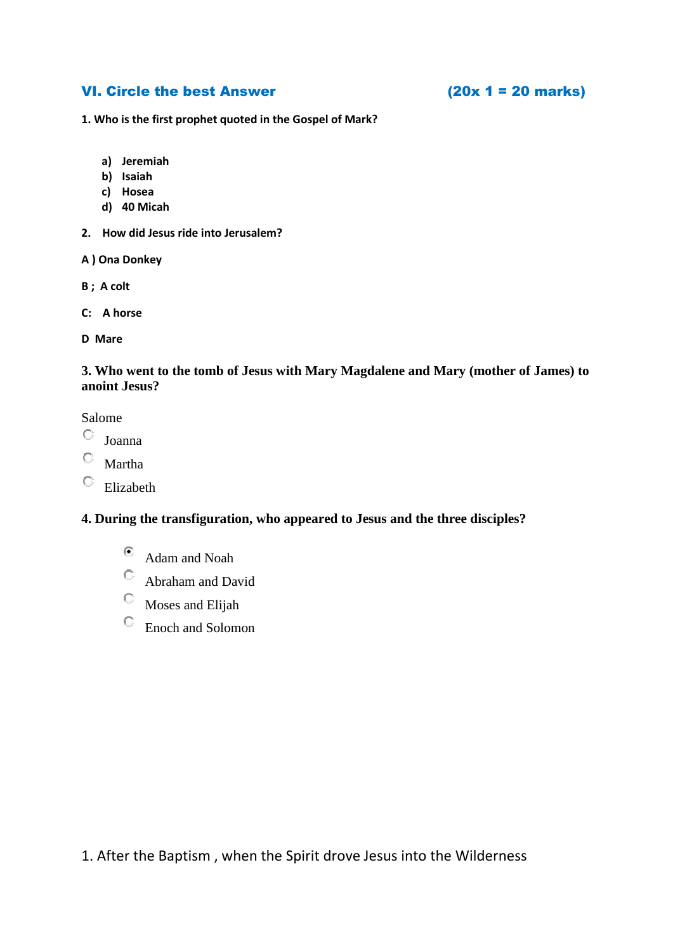## VI. Circle the best Answer  $(20x 1 = 20 \text{ marks})$

**1. Who is the first prophet quoted in the Gospel of Mark?** 

- **a) Jeremiah**
- **b) Isaiah**
- **c) Hosea**
- **d) 40 Micah**
- **2. How did Jesus ride into Jerusalem?**
- **A ) Ona Donkey**
- **B ; A colt**
- **C: A horse**

**D Mare** 

### **3. Who went to the tomb of Jesus with Mary Magdalene and Mary (mother of James) to anoint Jesus?**

Salome

- $\mathbf C$ Joanna
- Martha
- 0. Elizabeth

### **4. During the transfiguration, who appeared to Jesus and the three disciples?**

- $\odot$ Adam and Noah
- Abraham and David
- О. Moses and Elijah
- Enoch and Solomon

1. After the Baptism , when the Spirit drove Jesus into the Wilderness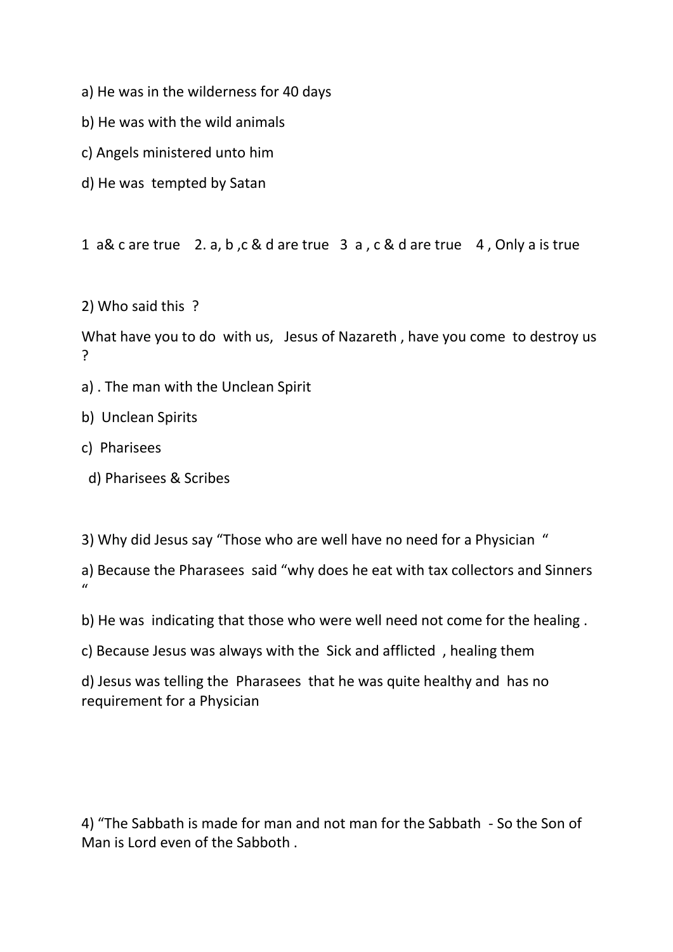- a) He was in the wilderness for 40 days
- b) He was with the wild animals
- c) Angels ministered unto him
- d) He was tempted by Satan

1 a& c are true 2. a, b ,c & d are true 3 a , c & d are true 4 , Only a is true

2) Who said this ?

What have you to do with us, Jesus of Nazareth , have you come to destroy us ?

a) . The man with the Unclean Spirit

b) Unclean Spirits

- c) Pharisees
	- d) Pharisees & Scribes

3) Why did Jesus say "Those who are well have no need for a Physician "

a) Because the Pharasees said "why does he eat with tax collectors and Sinners  $\mathbf{u}$ 

b) He was indicating that those who were well need not come for the healing .

c) Because Jesus was always with the Sick and afflicted , healing them

d) Jesus was telling the Pharasees that he was quite healthy and has no requirement for a Physician

4) "The Sabbath is made for man and not man for the Sabbath - So the Son of Man is Lord even of the Sabboth .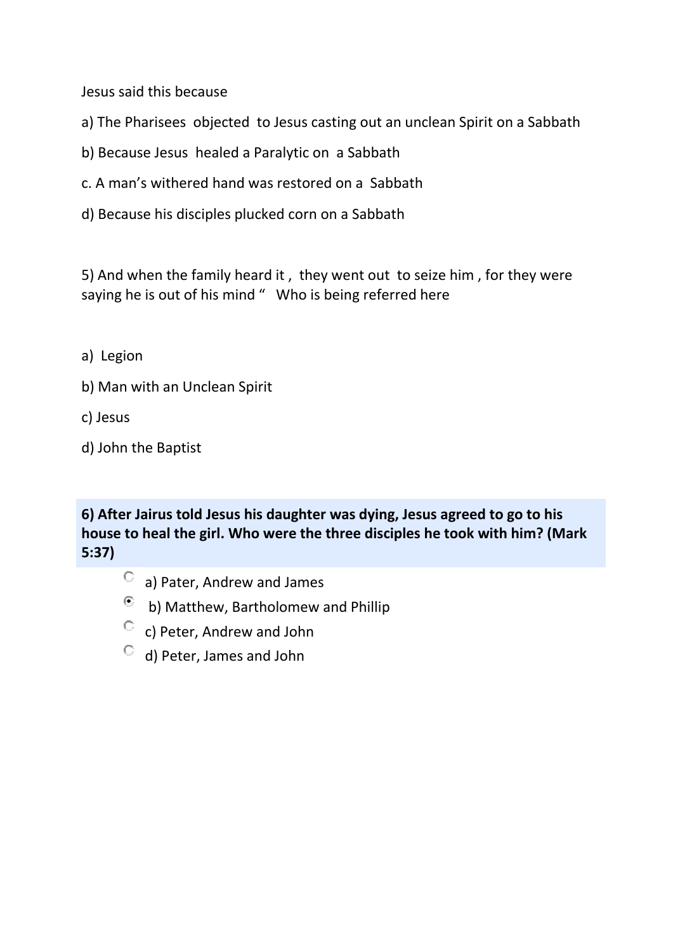Jesus said this because

- a) The Pharisees objected to Jesus casting out an unclean Spirit on a Sabbath
- b) Because Jesus healed a Paralytic on a Sabbath
- c. A man's withered hand was restored on a Sabbath
- d) Because his disciples plucked corn on a Sabbath

5) And when the family heard it , they went out to seize him , for they were saying he is out of his mind " Who is being referred here

- a) Legion
- b) Man with an Unclean Spirit
- c) Jesus
- d) John the Baptist

**6) After Jairus told Jesus his daughter was dying, Jesus agreed to go to his house to heal the girl. Who were the three disciples he took with him? (Mark 5:37)**

- a) Pater, Andrew and James
- $\odot$  b) Matthew, Bartholomew and Phillip
- $\degree$  c) Peter, Andrew and John
- $\begin{bmatrix} 1 & 0 \\ 0 & 1 \end{bmatrix}$  Peter, James and John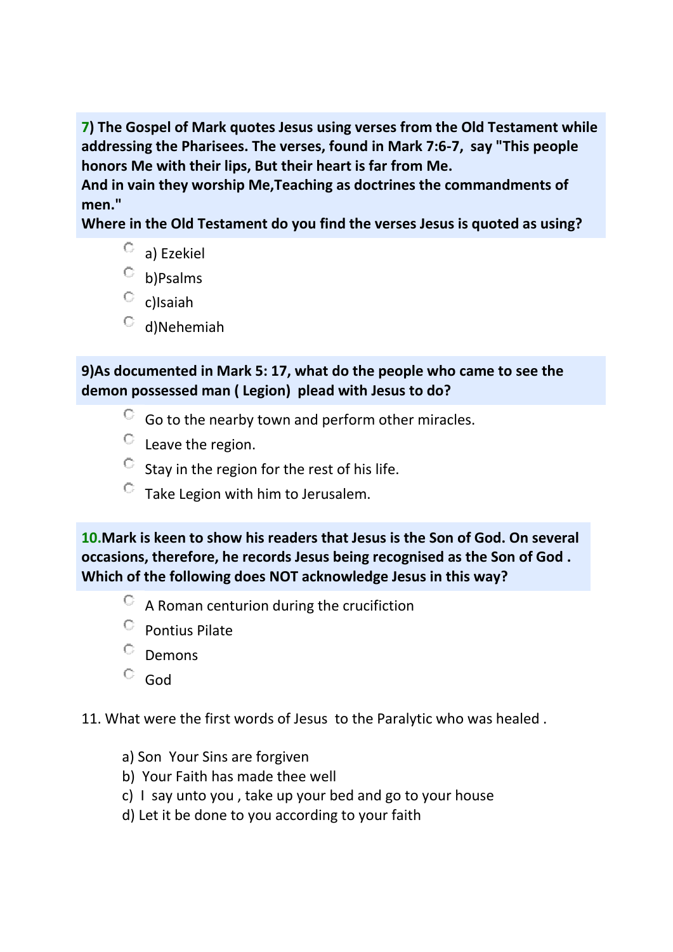**7) The Gospel of Mark quotes Jesus using verses from the Old Testament while addressing the Pharisees. The verses, found in Mark 7:6-7, say "This people honors Me with their lips, But their heart is far from Me.**

**And in vain they worship Me,Teaching as doctrines the commandments of men."**

**Where in the Old Testament do you find the verses Jesus is quoted as using?**

- О. a) Ezekiel
- b)Psalms
- $\circ$  c)Isaiah
- $O$  d)Nehemiah

# **9)As documented in Mark 5: 17, what do the people who came to see the demon possessed man ( Legion) plead with Jesus to do?**

- $\degree$  Go to the nearby town and perform other miracles.
- Leave the region.
- $\degree$  Stay in the region for the rest of his life.
- Take Legion with him to Jerusalem.

**10.Mark is keen to show his readers that Jesus is the Son of God. On several occasions, therefore, he records Jesus being recognised as the Son of God . Which of the following does NOT acknowledge Jesus in this way?**

- A Roman centurion during the crucifiction
- $\circ$  Pontius Pilate
- $^{\circ}$  Demons
- God

11. What were the first words of Jesus to the Paralytic who was healed .

- a) Son Your Sins are forgiven
- b) Your Faith has made thee well
- c) I say unto you , take up your bed and go to your house
- d) Let it be done to you according to your faith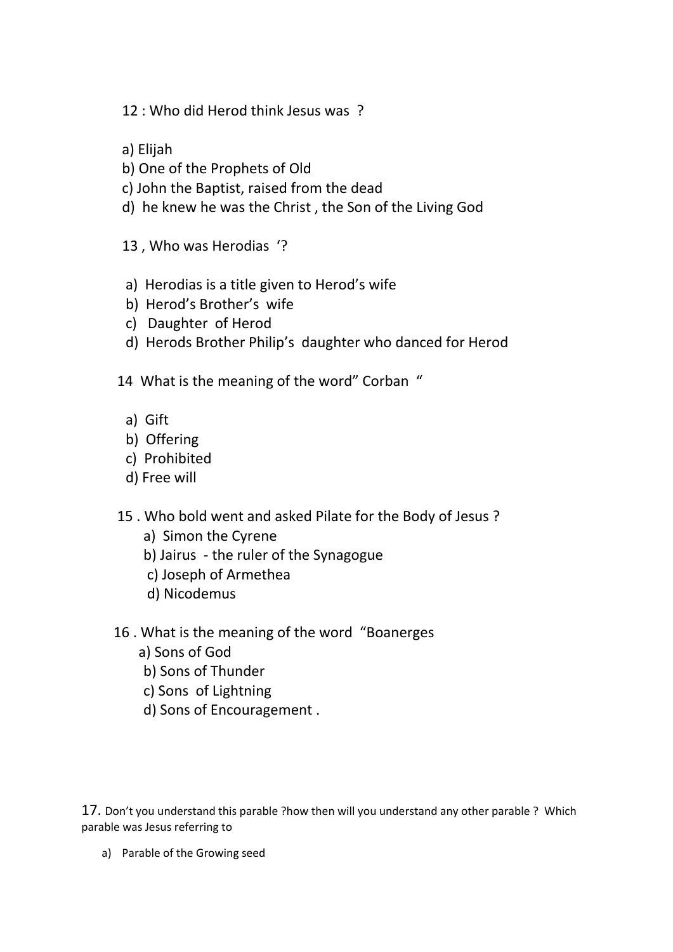- 12 : Who did Herod think Jesus was ?
- a) Elijah
- b) One of the Prophets of Old
- c) John the Baptist, raised from the dead
- d) he knew he was the Christ , the Son of the Living God
- 13 , Who was Herodias '?
- a) Herodias is a title given to Herod's wife
- b) Herod's Brother's wife
- c) Daughter of Herod
- d) Herods Brother Philip's daughter who danced for Herod
- 14 What is the meaning of the word" Corban "
	- a) Gift
	- b) Offering
	- c) Prohibited
	- d) Free will
- 15 . Who bold went and asked Pilate for the Body of Jesus ?
	- a) Simon the Cyrene
	- b) Jairus the ruler of the Synagogue
	- c) Joseph of Armethea
	- d) Nicodemus
- 16 . What is the meaning of the word "Boanerges
	- a) Sons of God
	- b) Sons of Thunder
	- c) Sons of Lightning
	- d) Sons of Encouragement .

17. Don't you understand this parable ?how then will you understand any other parable ? Which parable was Jesus referring to

a) Parable of the Growing seed